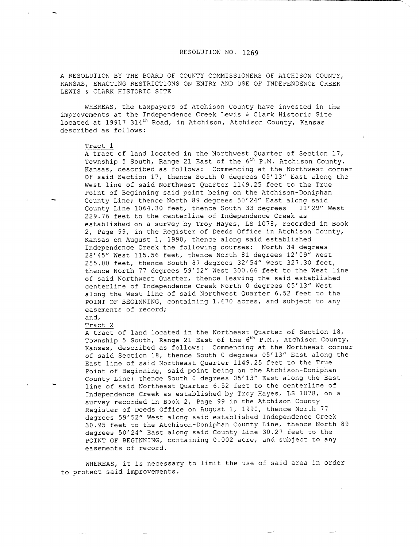## RESOLUTION NO. 1269

A RESOLUTION BY THE BOARD OF COUNTY COMMISSIONERS OF ATCHISON COUNTY, KANSAS, ENACTING RESTRICTIONS ON ENTRY AND USE OF INDEPENDENCE CREEK LEWIS & CLARK HISTORIC SITE

WHEREAS, the taxpayers of Atchison County have invested in the improvements at the Independence Creek Lewis & Clark Historic Site located at 19917 314<sup>th</sup> Road, in Atchison, Atchison County, Kansas described as follows:

## Tract 1

A tract of land located in the Northwest Quarter of Section 17, Township 5 South, Range 21 East of the  $6<sup>th</sup>$  P.M. Atchison County, Kansas, described as follows: Commencing at the Northwest corner Of said Section 17, thence South 0 degrees 05'13" East along the West line of said Northwest Quarter 1149.25 feet to the True Point of Beginning said point being on the Atchison-Doniphan County Line; thence North 89 degrees 50'24" East along said County Line 1064.30 feet, thence South 33 degrees 11'29" West 229.76 feet to the centerline of Independence Creek as established on a survey by Troy Hayes, LS 1078, recorded in Book 2, Page 99, in the Register of Deeds Office in Atchison County, Kansas on August 1, 1990, thence along said established Independence Creek the following courses: North 34 degrees 28'45" West 115.56 feet, thence North 81 degrees 12'09" West 255.00 feet, thence South 87 degrees 32'54" West 327.30 feet, thence North 77 degrees 59'52" West 300.66 feet to the West line of said Northwest Quarter, thence leaving the said established centerline of Independence Creek North 0 degrees 05'13" West along the West line of said Northwest Quarter 6.52 feet to the POINT OF BEGINNING, containing 1.670 acres, and subject to any easements of record;

## and, Tract 2

A tract of land located in the Northeast Quarter of Section 18, Township 5 South, Range 21 East of the 6<sup>th</sup> P.M., Atchison County, Kansas, described as follows: Commencing at the Northeast corner of said Section 18, thence South 0 degrees 05'13" East along the East line of said Northeast Quarter 1149.25 feet to the True Point of Beginning, said point being on the Atchison-Doniphan County Line; thence South 0 degrees 05'13" East along the East line of said Northeast Quarter 6.52 feet to the centerline of Independence Creek as established by Troy Hayes, LS 1078, on a survey recorded in Book 2, Page 99 in the Atchison County Register of Deeds Office on August 1, 1990, thence North 77 degrees 59'52" West along said established Independence Creek 30.95 feet to the Atchison-Doniphan County Line, thence North 89 degrees 50'24" East along said County Line 30.27 feet to the POINT OF BEGINNING, containing 0.002 acre, and subject to any easements of record.

WHEREAS, it is necessary to limit the use of said area in order to protect said improvements.